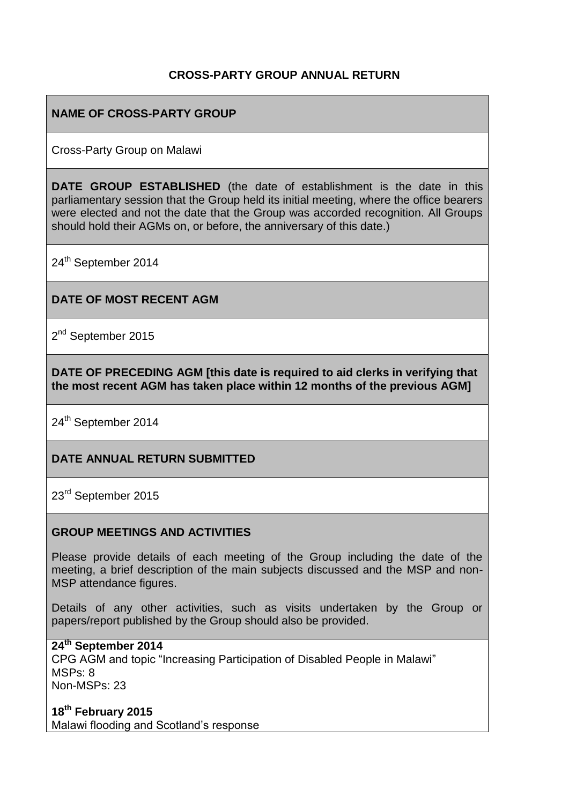## **CROSS-PARTY GROUP ANNUAL RETURN**

## **NAME OF CROSS-PARTY GROUP**

Cross-Party Group on Malawi

**DATE GROUP ESTABLISHED** (the date of establishment is the date in this parliamentary session that the Group held its initial meeting, where the office bearers were elected and not the date that the Group was accorded recognition. All Groups should hold their AGMs on, or before, the anniversary of this date.)

24<sup>th</sup> September 2014

### **DATE OF MOST RECENT AGM**

2<sup>nd</sup> September 2015

**DATE OF PRECEDING AGM [this date is required to aid clerks in verifying that the most recent AGM has taken place within 12 months of the previous AGM]**

24<sup>th</sup> September 2014

### **DATE ANNUAL RETURN SUBMITTED**

23<sup>rd</sup> September 2015

#### **GROUP MEETINGS AND ACTIVITIES**

Please provide details of each meeting of the Group including the date of the meeting, a brief description of the main subjects discussed and the MSP and non-MSP attendance figures.

Details of any other activities, such as visits undertaken by the Group or papers/report published by the Group should also be provided.

#### **24th September 2014**

CPG AGM and topic "Increasing Participation of Disabled People in Malawi" MSPs: 8 Non-MSPs: 23

**18th February 2015** Malawi flooding and Scotland's response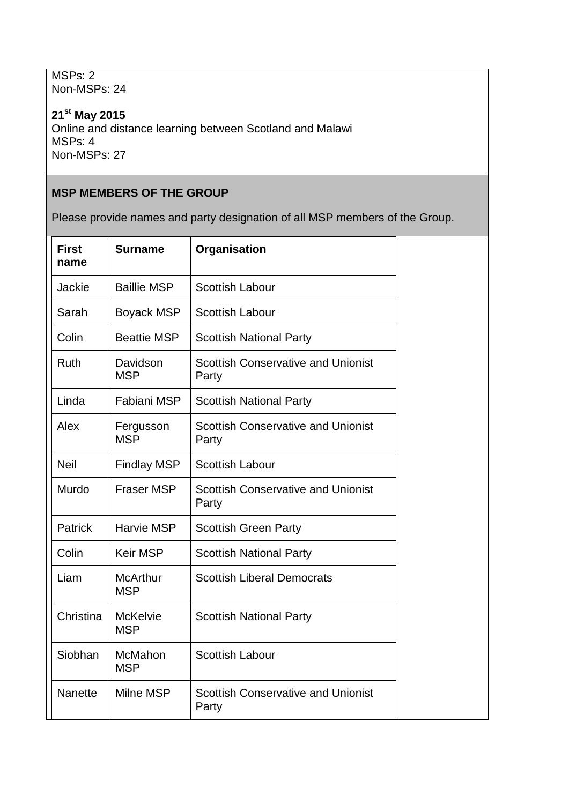MSPs: 2 Non-MSPs: 24

**21st May 2015** Online and distance learning between Scotland and Malawi MSPs: 4 Non-MSPs: 27

# **MSP MEMBERS OF THE GROUP**

Please provide names and party designation of all MSP members of the Group.

| <b>First</b><br>name | <b>Surname</b>                | Organisation                                       |
|----------------------|-------------------------------|----------------------------------------------------|
| Jackie               | <b>Baillie MSP</b>            | <b>Scottish Labour</b>                             |
| Sarah                | <b>Boyack MSP</b>             | <b>Scottish Labour</b>                             |
| Colin                | <b>Beattie MSP</b>            | <b>Scottish National Party</b>                     |
| Ruth                 | Davidson<br><b>MSP</b>        | <b>Scottish Conservative and Unionist</b><br>Party |
| Linda                | Fabiani MSP                   | <b>Scottish National Party</b>                     |
| Alex                 | Fergusson<br><b>MSP</b>       | <b>Scottish Conservative and Unionist</b><br>Party |
| <b>Neil</b>          | <b>Findlay MSP</b>            | <b>Scottish Labour</b>                             |
| Murdo                | <b>Fraser MSP</b>             | <b>Scottish Conservative and Unionist</b><br>Party |
| <b>Patrick</b>       | Harvie MSP                    | <b>Scottish Green Party</b>                        |
| Colin                | <b>Keir MSP</b>               | <b>Scottish National Party</b>                     |
| Liam                 | <b>McArthur</b><br><b>MSP</b> | <b>Scottish Liberal Democrats</b>                  |
| Christina            | <b>McKelvie</b><br><b>MSP</b> | <b>Scottish National Party</b>                     |
| Siobhan              | McMahon<br><b>MSP</b>         | <b>Scottish Labour</b>                             |
| <b>Nanette</b>       | Milne MSP                     | <b>Scottish Conservative and Unionist</b><br>Party |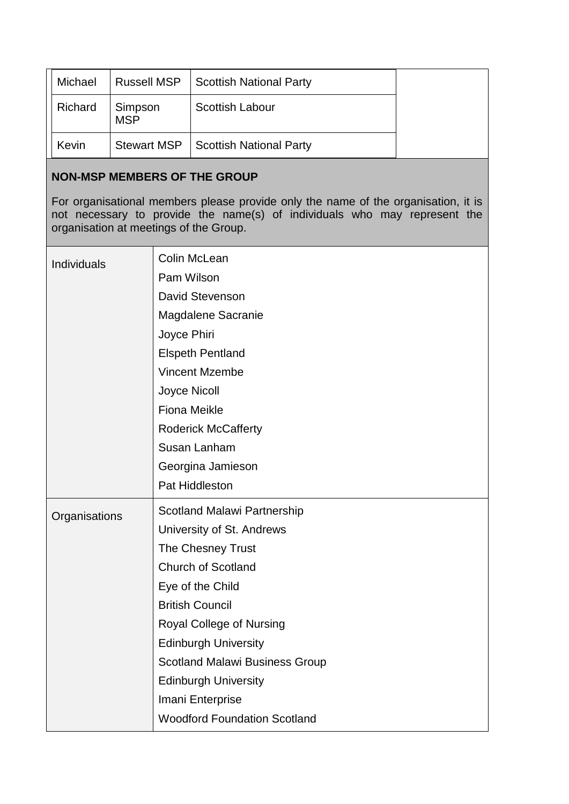| Michael | <b>Russell MSP</b>    | <b>Scottish National Party</b> |  |
|---------|-----------------------|--------------------------------|--|
| Richard | Simpson<br><b>MSP</b> | <b>Scottish Labour</b>         |  |
| Kevin   | <b>Stewart MSP</b>    | <b>Scottish National Party</b> |  |

### **NON-MSP MEMBERS OF THE GROUP**

For organisational members please provide only the name of the organisation, it is not necessary to provide the name(s) of individuals who may represent the organisation at meetings of the Group.

| Individuals   | Colin McLean                          |
|---------------|---------------------------------------|
|               | Pam Wilson                            |
|               | David Stevenson                       |
|               | Magdalene Sacranie                    |
|               | Joyce Phiri                           |
|               | <b>Elspeth Pentland</b>               |
|               | <b>Vincent Mzembe</b>                 |
|               | <b>Joyce Nicoll</b>                   |
|               | <b>Fiona Meikle</b>                   |
|               | <b>Roderick McCafferty</b>            |
|               | Susan Lanham                          |
|               | Georgina Jamieson                     |
|               | Pat Hiddleston                        |
|               |                                       |
|               | <b>Scotland Malawi Partnership</b>    |
| Organisations | University of St. Andrews             |
|               | The Chesney Trust                     |
|               | <b>Church of Scotland</b>             |
|               | Eye of the Child                      |
|               | <b>British Council</b>                |
|               | Royal College of Nursing              |
|               | <b>Edinburgh University</b>           |
|               | <b>Scotland Malawi Business Group</b> |
|               | <b>Edinburgh University</b>           |
|               | Imani Enterprise                      |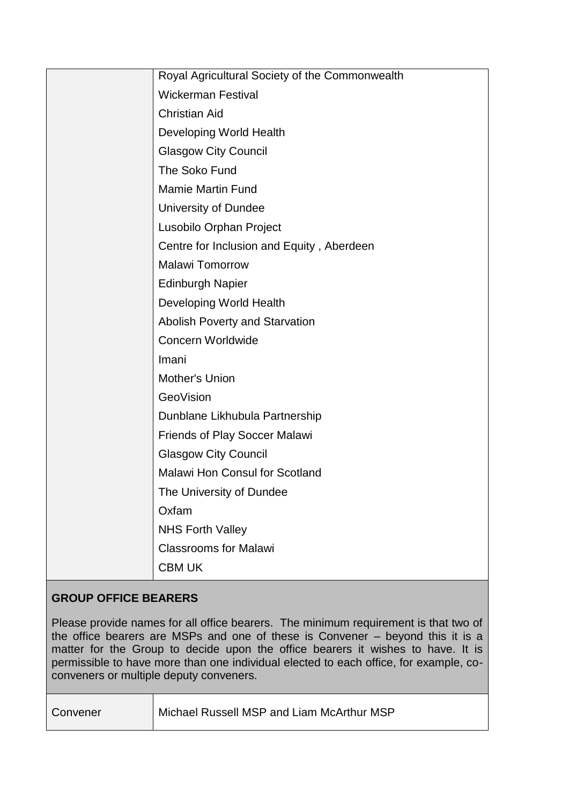| Royal Agricultural Society of the Commonwealth |
|------------------------------------------------|
| <b>Wickerman Festival</b>                      |
| <b>Christian Aid</b>                           |
| Developing World Health                        |
| <b>Glasgow City Council</b>                    |
| The Soko Fund                                  |
| <b>Mamie Martin Fund</b>                       |
| University of Dundee                           |
| Lusobilo Orphan Project                        |
| Centre for Inclusion and Equity, Aberdeen      |
| <b>Malawi Tomorrow</b>                         |
| <b>Edinburgh Napier</b>                        |
| Developing World Health                        |
| <b>Abolish Poverty and Starvation</b>          |
| <b>Concern Worldwide</b>                       |
| Imani                                          |
| Mother's Union                                 |
| GeoVision                                      |
| Dunblane Likhubula Partnership                 |
| <b>Friends of Play Soccer Malawi</b>           |
| <b>Glasgow City Council</b>                    |
| <b>Malawi Hon Consul for Scotland</b>          |
| The University of Dundee                       |
| Oxfam                                          |
| <b>NHS Forth Valley</b>                        |
| <b>Classrooms for Malawi</b>                   |
| <b>CBM UK</b>                                  |
|                                                |

# **GROUP OFFICE BEARERS**

Please provide names for all office bearers. The minimum requirement is that two of the office bearers are MSPs and one of these is Convener – beyond this it is a matter for the Group to decide upon the office bearers it wishes to have. It is permissible to have more than one individual elected to each office, for example, coconveners or multiple deputy conveners.

| Convener | Michael Russell MSP and Liam McArthur MSP |
|----------|-------------------------------------------|
|          |                                           |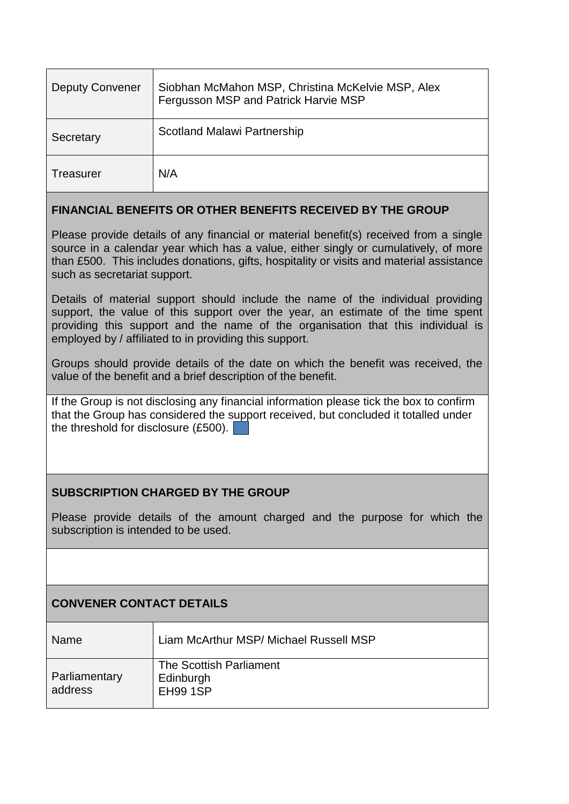| <b>Deputy Convener</b> | Siobhan McMahon MSP, Christina McKelvie MSP, Alex<br>Fergusson MSP and Patrick Harvie MSP |
|------------------------|-------------------------------------------------------------------------------------------|
| Secretary              | Scotland Malawi Partnership                                                               |
| Treasurer              | N/A                                                                                       |

## **FINANCIAL BENEFITS OR OTHER BENEFITS RECEIVED BY THE GROUP**

Please provide details of any financial or material benefit(s) received from a single source in a calendar year which has a value, either singly or cumulatively, of more than £500. This includes donations, gifts, hospitality or visits and material assistance such as secretariat support.

Details of material support should include the name of the individual providing support, the value of this support over the year, an estimate of the time spent providing this support and the name of the organisation that this individual is employed by / affiliated to in providing this support.

Groups should provide details of the date on which the benefit was received, the value of the benefit and a brief description of the benefit.

If the Group is not disclosing any financial information please tick the box to confirm that the Group has considered the support received, but concluded it totalled under the threshold for disclosure (£500).

## **SUBSCRIPTION CHARGED BY THE GROUP**

Please provide details of the amount charged and the purpose for which the subscription is intended to be used.

# **CONVENER CONTACT DETAILS**

| Name                     | Liam McArthur MSP/ Michael Russell MSP                  |
|--------------------------|---------------------------------------------------------|
| Parliamentary<br>address | The Scottish Parliament<br>Edinburgh<br><b>EH99 1SP</b> |